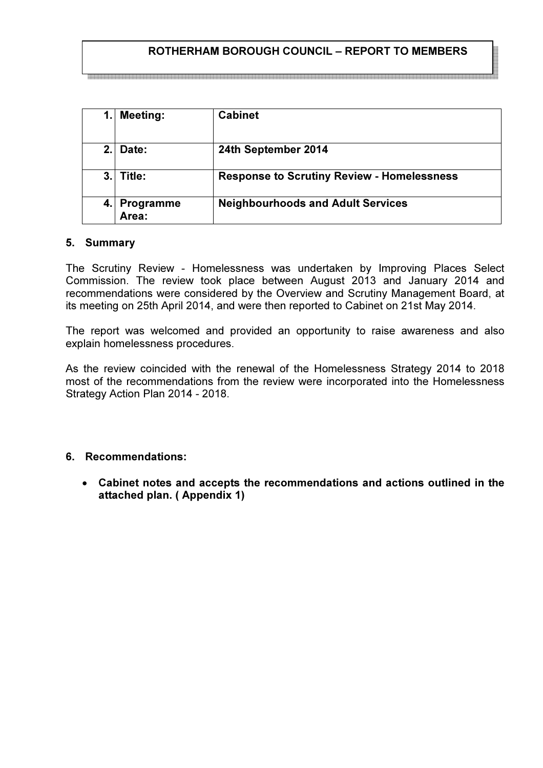# ROTHERHAM BOROUGH COUNCIL – REPORT TO MEMBERS

| 1.             | <b>Meeting:</b>    | <b>Cabinet</b>                                    |
|----------------|--------------------|---------------------------------------------------|
| 2 <sub>1</sub> | Date:              | 24th September 2014                               |
| 3.             | Title:             | <b>Response to Scrutiny Review - Homelessness</b> |
|                | Programme<br>Area: | <b>Neighbourhoods and Adult Services</b>          |

#### 5. Summary

The Scrutiny Review - Homelessness was undertaken by Improving Places Select Commission. The review took place between August 2013 and January 2014 and recommendations were considered by the Overview and Scrutiny Management Board, at its meeting on 25th April 2014, and were then reported to Cabinet on 21st May 2014.

The report was welcomed and provided an opportunity to raise awareness and also explain homelessness procedures.

As the review coincided with the renewal of the Homelessness Strategy 2014 to 2018 most of the recommendations from the review were incorporated into the Homelessness Strategy Action Plan 2014 - 2018.

### 6. Recommendations:

• Cabinet notes and accepts the recommendations and actions outlined in the attached plan. ( Appendix 1)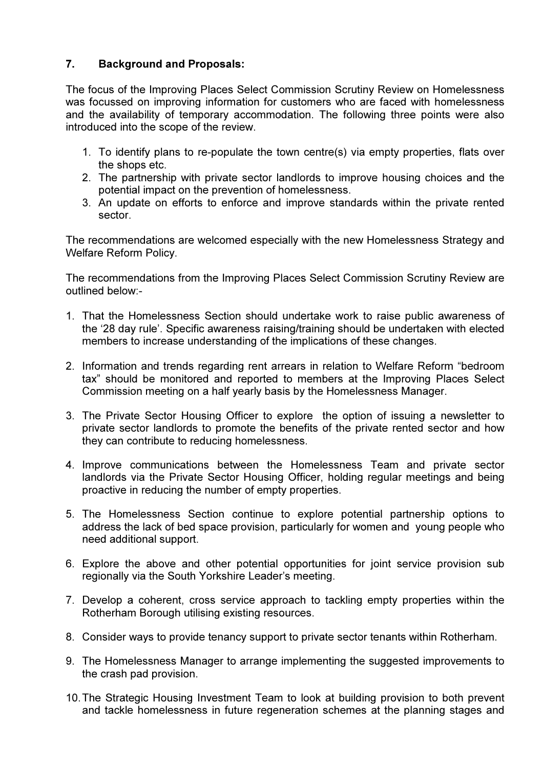### 7. Background and Proposals:

The focus of the Improving Places Select Commission Scrutiny Review on Homelessness was focussed on improving information for customers who are faced with homelessness and the availability of temporary accommodation. The following three points were also introduced into the scope of the review.

- 1. To identify plans to re-populate the town centre(s) via empty properties, flats over the shops etc.
- 2. The partnership with private sector landlords to improve housing choices and the potential impact on the prevention of homelessness.
- 3. An update on efforts to enforce and improve standards within the private rented sector.

The recommendations are welcomed especially with the new Homelessness Strategy and Welfare Reform Policy.

The recommendations from the Improving Places Select Commission Scrutiny Review are outlined below:-

- 1. That the Homelessness Section should undertake work to raise public awareness of the '28 day rule'. Specific awareness raising/training should be undertaken with elected members to increase understanding of the implications of these changes.
- 2. Information and trends regarding rent arrears in relation to Welfare Reform "bedroom tax" should be monitored and reported to members at the Improving Places Select Commission meeting on a half yearly basis by the Homelessness Manager.
- 3. The Private Sector Housing Officer to explore the option of issuing a newsletter to private sector landlords to promote the benefits of the private rented sector and how they can contribute to reducing homelessness.
- 4. Improve communications between the Homelessness Team and private sector landlords via the Private Sector Housing Officer, holding regular meetings and being proactive in reducing the number of empty properties.
- 5. The Homelessness Section continue to explore potential partnership options to address the lack of bed space provision, particularly for women and young people who need additional support.
- 6. Explore the above and other potential opportunities for joint service provision sub regionally via the South Yorkshire Leader's meeting.
- 7. Develop a coherent, cross service approach to tackling empty properties within the Rotherham Borough utilising existing resources.
- 8. Consider ways to provide tenancy support to private sector tenants within Rotherham.
- 9. The Homelessness Manager to arrange implementing the suggested improvements to the crash pad provision.
- 10. The Strategic Housing Investment Team to look at building provision to both prevent and tackle homelessness in future regeneration schemes at the planning stages and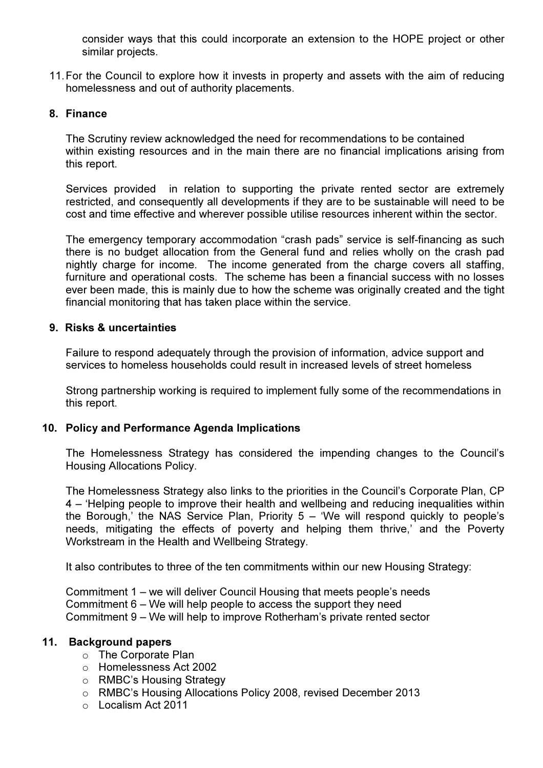consider ways that this could incorporate an extension to the HOPE project or other similar projects.

11. For the Council to explore how it invests in property and assets with the aim of reducing homelessness and out of authority placements.

### 8. Finance

The Scrutiny review acknowledged the need for recommendations to be contained within existing resources and in the main there are no financial implications arising from this report.

Services provided in relation to supporting the private rented sector are extremely restricted, and consequently all developments if they are to be sustainable will need to be cost and time effective and wherever possible utilise resources inherent within the sector.

The emergency temporary accommodation "crash pads" service is self-financing as such there is no budget allocation from the General fund and relies wholly on the crash pad nightly charge for income. The income generated from the charge covers all staffing, furniture and operational costs. The scheme has been a financial success with no losses ever been made, this is mainly due to how the scheme was originally created and the tight financial monitoring that has taken place within the service.

### 9. Risks & uncertainties

Failure to respond adequately through the provision of information, advice support and services to homeless households could result in increased levels of street homeless

Strong partnership working is required to implement fully some of the recommendations in this report.

### 10. Policy and Performance Agenda Implications

The Homelessness Strategy has considered the impending changes to the Council's Housing Allocations Policy.

The Homelessness Strategy also links to the priorities in the Council's Corporate Plan, CP 4 – 'Helping people to improve their health and wellbeing and reducing inequalities within the Borough,' the NAS Service Plan, Priority  $5 -$  'We will respond quickly to people's needs, mitigating the effects of poverty and helping them thrive,' and the Poverty Workstream in the Health and Wellbeing Strategy.

It also contributes to three of the ten commitments within our new Housing Strategy:

Commitment 1 – we will deliver Council Housing that meets people's needs Commitment 6 – We will help people to access the support they need Commitment 9 – We will help to improve Rotherham's private rented sector

### 11. Background papers

- o The Corporate Plan
- o Homelessness Act 2002
- o RMBC's Housing Strategy
- o RMBC's Housing Allocations Policy 2008, revised December 2013
- o Localism Act 2011